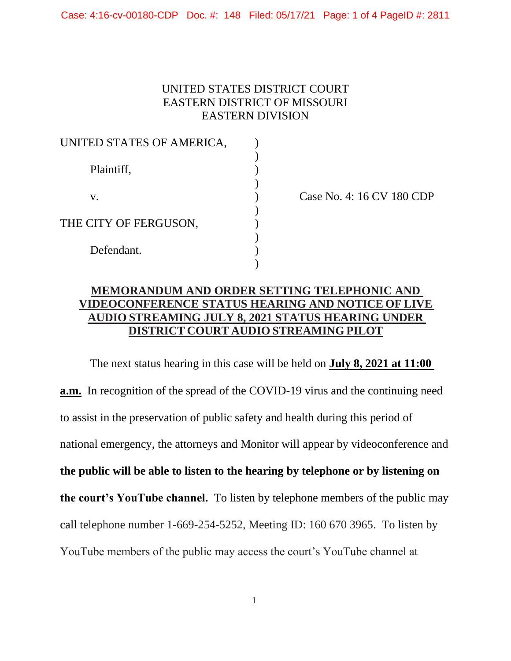Case: 4:16-cv-00180-CDP Doc. #: 148 Filed: 05/17/21 Page: 1 of 4 PageID #: 2811

## UNITED STATES DISTRICT COURT EASTERN DISTRICT OF MISSOURI EASTERN DIVISION

| UNITED STATES OF AMERICA, |  |
|---------------------------|--|
| Plaintiff,                |  |
| V.                        |  |
| THE CITY OF FERGUSON,     |  |
| Defendant.                |  |
|                           |  |

Case No. 4: 16 CV 180 CDP

## **MEMORANDUM AND ORDER SETTING TELEPHONIC AND VIDEOCONFERENCE STATUS HEARING AND NOTICE OF LIVE AUDIO STREAMING JULY 8, 2021 STATUS HEARING UNDER DISTRICT COURT AUDIO STREAMING PILOT**

The next status hearing in this case will be held on **July 8, 2021 at 11:00 a.m.** In recognition of the spread of the COVID-19 virus and the continuing need to assist in the preservation of public safety and health during this period of national emergency, the attorneys and Monitor will appear by videoconference and **the public will be able to listen to the hearing by telephone or by listening on the court's YouTube channel.** To listen by telephone members of the public may call telephone number 1-669-254-5252, Meeting ID: 160 670 3965. To listen by YouTube members of the public may access the court's YouTube channel at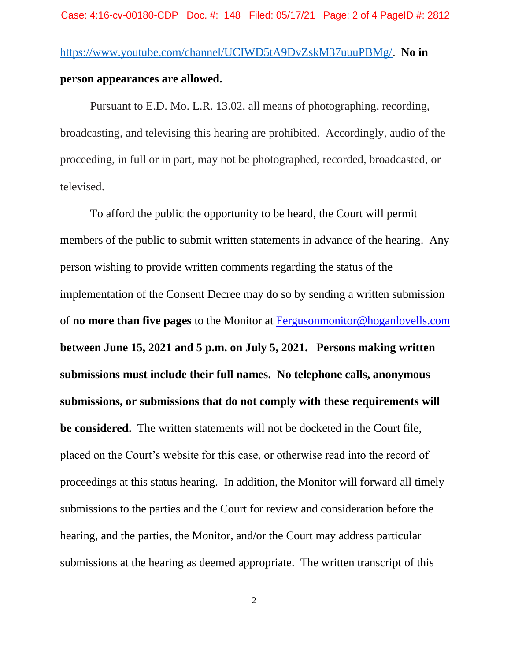Pursuant to E.D. Mo. L.R. 13.02, all means of photographing, recording, broadcasting, and televising this hearing are prohibited. Accordingly, audio of the proceeding, in full or in part, may not be photographed, recorded, broadcasted, or televised.

To afford the public the opportunity to be heard, the Court will permit members of the public to submit written statements in advance of the hearing. Any person wishing to provide written comments regarding the status of the implementation of the Consent Decree may do so by sending a written submission of **no more than five pages** to the Monitor at [Fergusonmonitor@hoganlovells.com](mailto:Fergusonmonitor@hoganlovells.com) **between June 15, 2021 and 5 p.m. on July 5, 2021. Persons making written submissions must include their full names. No telephone calls, anonymous submissions, or submissions that do not comply with these requirements will be considered.** The written statements will not be docketed in the Court file, placed on the Court's website for this case, or otherwise read into the record of proceedings at this status hearing. In addition, the Monitor will forward all timely submissions to the parties and the Court for review and consideration before the hearing, and the parties, the Monitor, and/or the Court may address particular submissions at the hearing as deemed appropriate. The written transcript of this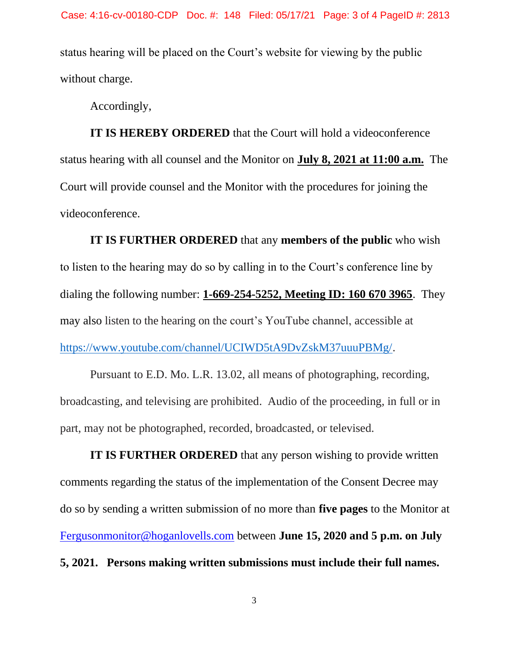status hearing will be placed on the Court's website for viewing by the public without charge.

Accordingly,

**IT IS HEREBY ORDERED** that the Court will hold a videoconference status hearing with all counsel and the Monitor on **July 8, 2021 at 11:00 a.m.** The Court will provide counsel and the Monitor with the procedures for joining the videoconference.

**IT IS FURTHER ORDERED** that any **members of the public** who wish to listen to the hearing may do so by calling in to the Court's conference line by dialing the following number: **1-669-254-5252, Meeting ID: 160 670 3965**. They may also listen to the hearing on the court's YouTube channel, accessible at [https://www.youtube.com/channel/UCIWD5tA9DvZskM37uuuPBMg/.](https://www.youtube.com/channel/UCIWD5tA9DvZskM37uuuPBMg/)

Pursuant to E.D. Mo. L.R. 13.02, all means of photographing, recording, broadcasting, and televising are prohibited. Audio of the proceeding, in full or in part, may not be photographed, recorded, broadcasted, or televised.

**IT IS FURTHER ORDERED** that any person wishing to provide written comments regarding the status of the implementation of the Consent Decree may do so by sending a written submission of no more than **five pages** to the Monitor at [Fergusonmonitor@hoganlovells.com](mailto:Fergusonmonitor@hoganlovells.com) between **June 15, 2020 and 5 p.m. on July 5, 2021. Persons making written submissions must include their full names.**